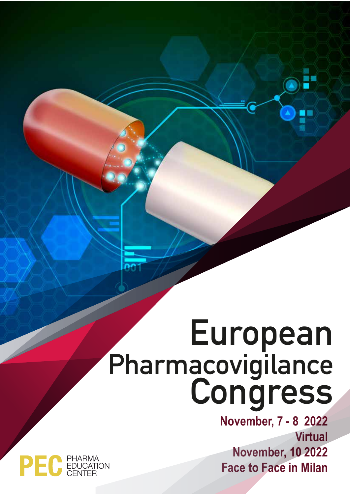# **European Pharmacovigilance Congress**

**November, 7 - 8 2022 Virtual November, 10 2022 Face to Face in Milan**

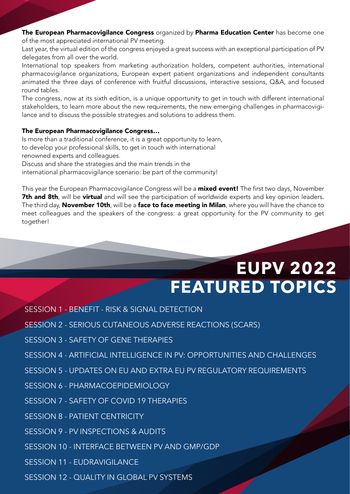### The European Pharmacovigilance Congress organized by Pharma Education Center has become one of the most appreciated international PV meeting.

Last year, the virtual edition of the congress enjoyed a great success with an exceptional participation of PV delegates from all over the world.

International top speakers from marketing authorization holders, competent authorities, international pharmacovigilance organizations, European expert patient organizations and independent consultants animated the three days of conference with fruitful discussions, interactive sessions, Q&A, and focused round tables.

The congress, now at its sixth edition, is a unique opportunity to get in touch with different international stakeholders, to learn more about the new requirements, the new emerging challenges in pharmacovigilance and to discuss the possible strategies and solutions to address them.

### The European Pharmacovigilance Congress…

Is more than a traditional conference, it is a great opportunity to learn, to develop your professional skills, to get in touch with international renowned experts and colleagues.

Discuss and share the strategies and the main trends in the

international pharmacovigilance scenario: be part of the community!

This year the European Pharmacovigilance Congress will be a **mixed event!** The first two days, November 7th and 8th, will be virtual and will see the participation of worldwide experts and key opinion leaders. The third day, November 10th, will be a face to face meeting in Milan, where you will have the chance to meet colleagues and the speakers of the congress: a great opportunity for the PV community to get together!

### **EUPV 2022 FEATURED TOPICS**

- SESSION 1 BENEFIT RISK & SIGNAL DETECTION
- SESSION 2 SERIOUS CUTANEOUS ADVERSE REACTIONS (SCARS)
- SESSION 3 SAFETY OF GENE THERAPIES
- SESSION 4 ARTIFICIAL INTELLIGENCE IN PV: OPPORTUNITIES AND CHALLENGES
- SESSION 5 UPDATES ON EU AND EXTRA EU PV REGULATORY REQUIREMENTS
- SESSION 6 PHARMACOEPIDEMIOLOGY
- SESSION 7 SAFETY OF COVID 19 THERAPIES
- SESSION 8 PATIENT CENTRICITY
- SESSION 9 PV INSPECTIONS & AUDITS
- SESSION 10 INTERFACE BETWEEN PV AND GMP/GDP
- SESSION 11 EUDRAVIGILANCE
- SESSION 12 QUALITY IN GLOBAL PV SYSTEMS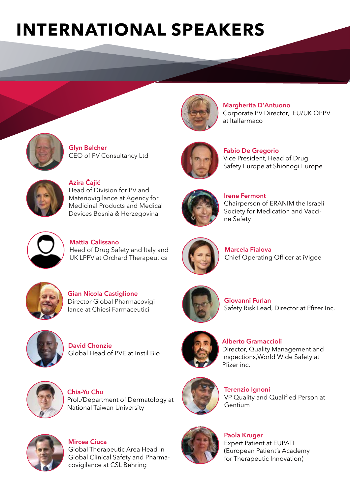## **INTERNATIONAL SPEAKERS**



**Glyn Belcher** CEO of PV Consultancy Ltd



**Azira Čajić** Head of Division for PV and Materiovigilance at Agency for Medicinal Products and Medical Devices Bosnia & Herzegovina



**Margherita D'Antuono**  Corporate PV Director, EU/UK QPPV at Italfarmaco



**Fabio De Gregorio** Vice President, Head of Drug Safety Europe at Shionogi Europe



**Irene Fermont** Chairperson of ERANIM the Israeli Society for Medication and Vaccine Safety



**Mattia Calissano** Head of Drug Safety and Italy and UK LPPV at Orchard Therapeutics



**Marcela Fialova** Chief Operating Officer at iVigee

**Giovanni Furlan**



**Gian Nicola Castiglione** Director Global Pharmacovigilance at Chiesi Farmaceutici



**David Chonzie** Global Head of PVE at Instil Bio



**Chia-Yu Chu**  Prof./Department of Dermatology at National Taiwan University



**Alberto Gramaccioli** Director, Quality Management and Inspections,World Wide Safety at Pfizer inc.

Safety Risk Lead, Director at Pfizer Inc.



**Terenzio Ignoni** VP Quality and Qualified Person at Gentium



**Mircea Ciuca** Global Therapeutic Area Head in Global Clinical Safety and Pharmacovigilance at CSL Behring



**Paola Kruger** Expert Patient at EUPATI (European Patient's Academy for Therapeutic Innovation)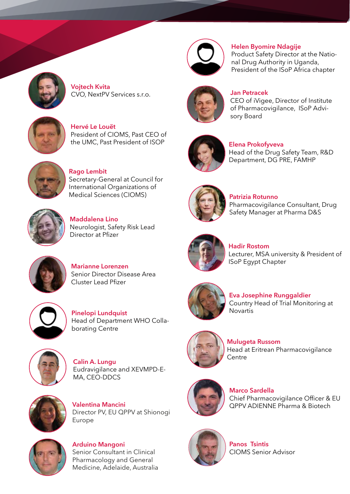

**Vojtech Kvita** CVO, NextPV Services s.r.o.



**Hervé Le Louët**  President of CIOMS, Past CEO of the UMC, Past President of ISOP



**Rago Lembit** Secretary-General at Council for International Organizations of Medical Sciences (CIOMS)



**Maddalena Lino** Neurologist, Safety Risk Lead Director at Pfizer



**Marianne Lorenzen** Senior Director Disease Area Cluster Lead Pfizer



**Pinelopi Lundquist** Head of Department WHO Collaborating Centre



**Calin A. Lungu** Eudravigilance and XEVMPD-E-MA, CEO-DDCS



**Valentina Mancini**  Director PV, EU QPPV at Shionogi Europe



**Arduino Mangoni** Senior Consultant in Clinical Pharmacology and General Medicine, Adelaide, Australia



**Helen Byomire Ndagije**

Product Safety Director at the National Drug Authority in Uganda, President of the ISoP Africa chapter



**Jan Petracek**

CEO of iVigee, Director of Institute of Pharmacovigilance, ISoP Advisory Board



**Elena Prokofyveva**

Head of the Drug Safety Team, R&D Department, DG PRE, FAMHP



**Patrizia Rotunno**

Pharmacovigilance Consultant, Drug Safety Manager at Pharma D&S



**Hadir Rostom** Lecturer, MSA university & President of ISoP Egypt Chapter



**Eva Josephine Runggaldier** Country Head of Trial Monitoring at Novartis



**Mulugeta Russom** Head at Eritrean Pharmacovigilance Centre



**Marco Sardella** Chief Pharmacovigilance Officer & EU QPPV ADIENNE Pharma & Biotech



**Panos Tsintis** CIOMS Senior Advisor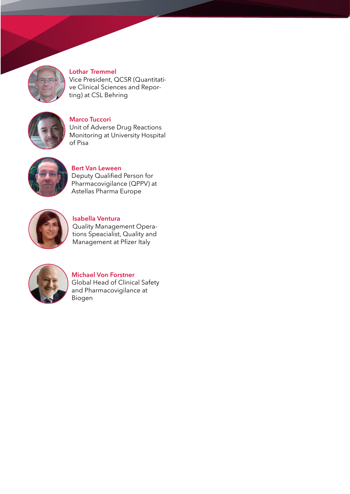

**Lothar Tremmel** Vice President, QCSR (Quantitative Clinical Sciences and Reporting) at CSL Behring



**Marco Tuccori** Unit of Adverse Drug Reactions Monitoring at University Hospital of Pisa



**Bert Van Leween** Deputy Qualified Person for Pharmacovigilance (QPPV) at Astellas Pharma Europe



**Isabella Ventura** Quality Management Operations Speacialist, Quality and Management at Pfizer Italy



**Michael Von Forstner** Global Head of Clinical Safety and Pharmacovigilance at Biogen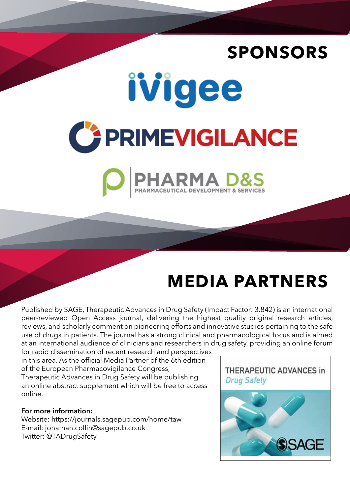### **SPONSORS**





### **MEDIA PARTNERS**

Published by SAGE, Therapeutic Advances in Drug Safety (Impact Factor: 3.842) is an international peer-reviewed Open Access journal, delivering the highest quality original research articles, reviews, and scholarly comment on pioneering efforts and innovative studies pertaining to the safe use of drugs in patients. The journal has a strong clinical and pharmacological focus and is aimed at an international audience of clinicians and researchers in drug safety, providing an online forum

for rapid dissemination of recent research and perspectives in this area. As the official Media Partner of the 6th edition of the European Pharmacovigilance Congress, Therapeutic Advances in Drug Safety will be publishing an online abstract supplement which will be free to access online.

### **For more information:**

Website: https://journals.sagepub.com/home/taw E-mail: jonathan.collin@sagepub.co.uk Twitter: @TADrugSafety